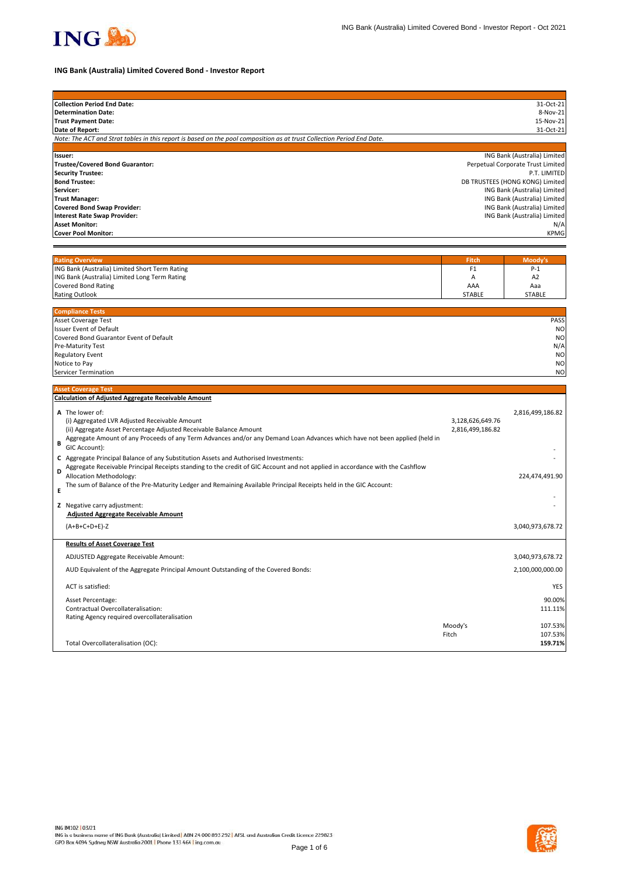

# **ING Bank (Australia) Limited Covered Bond - Investor Report**

| <b>Collection Period End Date:</b>                                                                                                 |                                      | 31-Oct-21                                         |
|------------------------------------------------------------------------------------------------------------------------------------|--------------------------------------|---------------------------------------------------|
| <b>Determination Date:</b>                                                                                                         |                                      | 8-Nov-21                                          |
| <b>Trust Payment Date:</b>                                                                                                         |                                      | 15-Nov-21                                         |
| Date of Report:                                                                                                                    |                                      | 31-Oct-21                                         |
| Note: The ACT and Strat tables in this report is based on the pool composition as at trust Collection Period End Date.             |                                      |                                                   |
|                                                                                                                                    |                                      |                                                   |
| Issuer:<br><b>Trustee/Covered Bond Guarantor:</b>                                                                                  |                                      | ING Bank (Australia) Limited                      |
| <b>Security Trustee:</b>                                                                                                           |                                      | Perpetual Corporate Trust Limited<br>P.T. LIMITED |
| <b>Bond Trustee:</b>                                                                                                               |                                      | DB TRUSTEES (HONG KONG) Limited                   |
| Servicer:                                                                                                                          |                                      | ING Bank (Australia) Limited                      |
| <b>Trust Manager:</b>                                                                                                              |                                      | ING Bank (Australia) Limited                      |
| <b>Covered Bond Swap Provider:</b>                                                                                                 |                                      | ING Bank (Australia) Limited                      |
| <b>Interest Rate Swap Provider:</b>                                                                                                |                                      | ING Bank (Australia) Limited                      |
| <b>Asset Monitor:</b>                                                                                                              |                                      | N/A                                               |
| <b>Cover Pool Monitor:</b>                                                                                                         |                                      | <b>KPMG</b>                                       |
|                                                                                                                                    |                                      |                                                   |
|                                                                                                                                    |                                      |                                                   |
| <b>Rating Overview</b>                                                                                                             | Fitch                                | Moody's                                           |
| ING Bank (Australia) Limited Short Term Rating                                                                                     | F1                                   | $P-1$                                             |
| ING Bank (Australia) Limited Long Term Rating                                                                                      | Α                                    | A <sub>2</sub>                                    |
| <b>Covered Bond Rating</b>                                                                                                         | AAA                                  | Aaa                                               |
| <b>Rating Outlook</b>                                                                                                              | <b>STABLE</b>                        | <b>STABLE</b>                                     |
| <b>Compliance Tests</b>                                                                                                            |                                      |                                                   |
| Asset Coverage Test                                                                                                                |                                      | <b>PASS</b>                                       |
| <b>Issuer Event of Default</b>                                                                                                     |                                      | N <sub>O</sub>                                    |
| Covered Bond Guarantor Event of Default                                                                                            |                                      | N <sub>O</sub>                                    |
| Pre-Maturity Test                                                                                                                  |                                      | N/A                                               |
| Regulatory Event                                                                                                                   |                                      | N <sub>O</sub>                                    |
| Notice to Pay                                                                                                                      |                                      | N <sub>O</sub>                                    |
| Servicer Termination                                                                                                               |                                      | <b>NO</b>                                         |
| <b>Asset Coverage Test</b>                                                                                                         |                                      |                                                   |
| <b>Calculation of Adjusted Aggregate Receivable Amount</b>                                                                         |                                      |                                                   |
|                                                                                                                                    |                                      |                                                   |
| A The lower of:                                                                                                                    |                                      | 2,816,499,186.82                                  |
| (i) Aggregated LVR Adjusted Receivable Amount<br>(ii) Aggregate Asset Percentage Adjusted Receivable Balance Amount                | 3,128,626,649.76<br>2,816,499,186.82 |                                                   |
| Aggregate Amount of any Proceeds of any Term Advances and/or any Demand Loan Advances which have not been applied (held in         |                                      |                                                   |
| B<br>GIC Account):                                                                                                                 |                                      |                                                   |
|                                                                                                                                    |                                      |                                                   |
| C Aggregate Principal Balance of any Substitution Assets and Authorised Investments:                                               |                                      |                                                   |
| Aggregate Receivable Principal Receipts standing to the credit of GIC Account and not applied in accordance with the Cashflow<br>D |                                      |                                                   |
| Allocation Methodology:                                                                                                            |                                      | 224,474,491.90                                    |
| The sum of Balance of the Pre-Maturity Ledger and Remaining Available Principal Receipts held in the GIC Account:<br>Е             |                                      |                                                   |
|                                                                                                                                    |                                      |                                                   |
|                                                                                                                                    |                                      |                                                   |
| Z Negative carry adjustment:                                                                                                       |                                      |                                                   |
| <b>Adjusted Aggregate Receivable Amount</b>                                                                                        |                                      |                                                   |
| $(A+B+C+D+E)-Z$                                                                                                                    |                                      | 3,040,973,678.72                                  |
|                                                                                                                                    |                                      |                                                   |
| <b>Results of Asset Coverage Test</b>                                                                                              |                                      |                                                   |
| ADJUSTED Aggregate Receivable Amount:                                                                                              |                                      | 3,040,973,678.72                                  |
| AUD Equivalent of the Aggregate Principal Amount Outstanding of the Covered Bonds:                                                 |                                      |                                                   |
| ACT is satisfied:                                                                                                                  |                                      |                                                   |
|                                                                                                                                    |                                      | 2,100,000,000.00<br><b>YES</b>                    |
| Asset Percentage:<br>Contractual Overcollateralisation:                                                                            |                                      |                                                   |
| Rating Agency required overcollateralisation                                                                                       |                                      |                                                   |
|                                                                                                                                    | Moody's                              |                                                   |
|                                                                                                                                    | Fitch                                | 90.00%<br>111.11%<br>107.53%<br>107.53%           |
| Total Overcollateralisation (OC):                                                                                                  |                                      | 159.71%                                           |

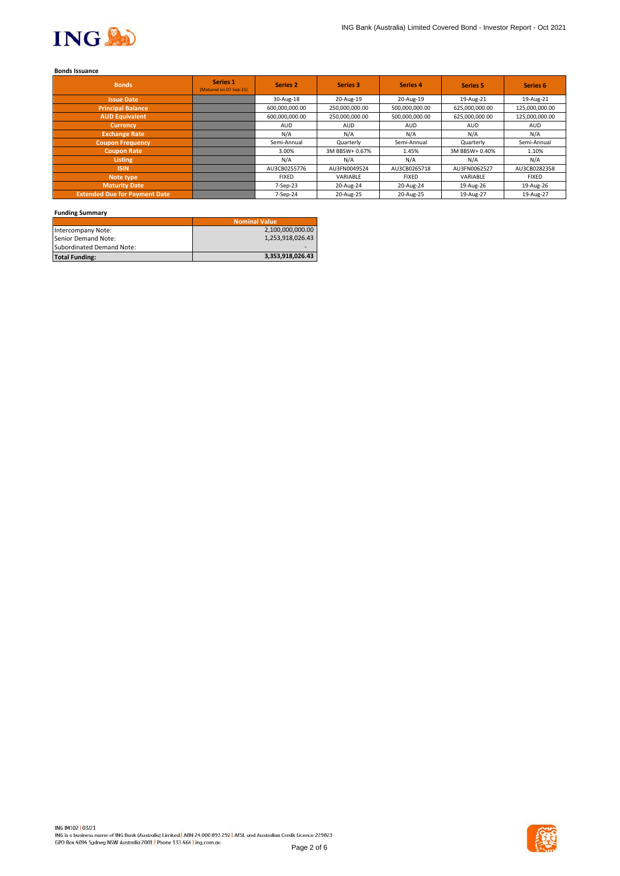

# **Bonds Issuance**

| <b>Bonds</b>                         | Series 1<br>(Matured on 07-Sep-21) | <b>Series 2</b> | <b>Series 3</b> | Series 4       | <b>Series 5</b> | Series <sub>6</sub> |
|--------------------------------------|------------------------------------|-----------------|-----------------|----------------|-----------------|---------------------|
| <b>Issue Date</b>                    |                                    | 30-Aug-18       | 20-Aug-19       | 20-Aug-19      | 19-Aug-21       | 19-Aug-21           |
| <b>Principal Balance</b>             |                                    | 600,000,000.00  | 250,000,000.00  | 500,000,000.00 | 625,000,000.00  | 125,000,000.00      |
| <b>AUD Equivalent</b>                |                                    | 600,000,000.00  | 250,000,000.00  | 500,000,000.00 | 625,000,000.00  | 125,000,000.00      |
| <b>Currency</b>                      |                                    | <b>AUD</b>      | <b>AUD</b>      | <b>AUD</b>     | <b>AUD</b>      | <b>AUD</b>          |
| <b>Exchange Rate</b>                 |                                    | N/A             | N/A             | N/A            | N/A             | N/A                 |
| <b>Coupon Frequency</b>              |                                    | Semi-Annual     | Quarterly       | Semi-Annual    | Quarterly       | Semi-Annual         |
| <b>Coupon Rate</b>                   |                                    | 3.00%           | 3M BBSW+ 0.67%  | 1.45%          | 3M BBSW+ 0.40%  | 1.10%               |
| Listing                              |                                    | N/A             | N/A             | N/A            | N/A             | N/A                 |
| <b>ISIN</b>                          |                                    | AU3CB0255776    | AU3FN0049524    | AU3CB0265718   | AU3FN0062527    | AU3CB0282358        |
| Note type                            |                                    | <b>FIXED</b>    | VARIABLE        | <b>FIXED</b>   | VARIABLE        | <b>FIXED</b>        |
| <b>Maturity Date</b>                 |                                    | 7-Sep-23        | 20-Aug-24       | 20-Aug-24      | 19-Aug-26       | 19-Aug-26           |
| <b>Extended Due for Payment Date</b> |                                    | 7-Sep-24        | 20-Aug-25       | 20-Aug-25      | 19-Aug-27       | 19-Aug-27           |

## **Funding Summary**

|                           | <b>Nominal Value</b> |
|---------------------------|----------------------|
| Intercompany Note:        | 2,100,000,000.00     |
| Senior Demand Note:       | 1,253,918,026.43     |
| Subordinated Demand Note: |                      |
| <b>Total Funding:</b>     | 3,353,918,026.43     |

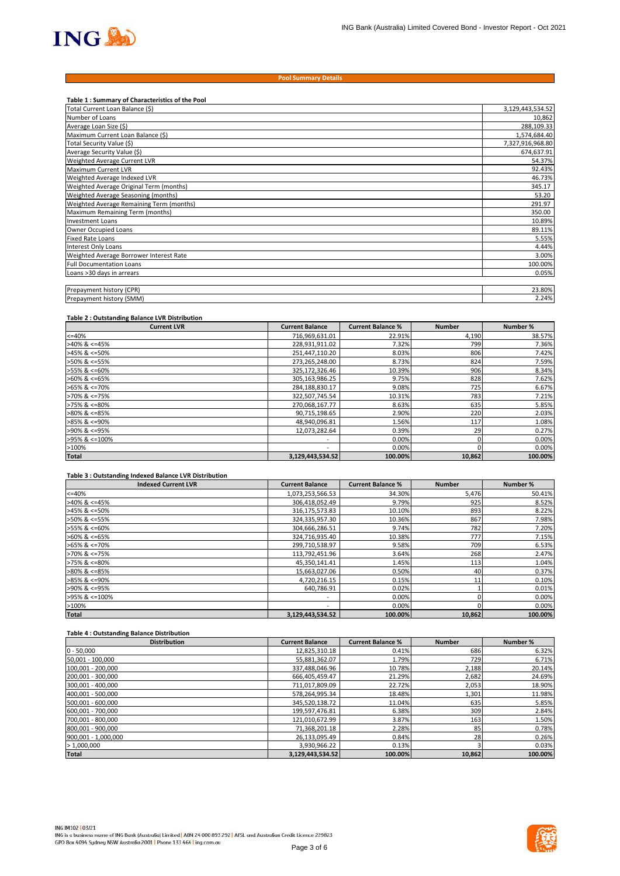

#### **Pool Summary Details**

| Table 1: Summary of Characteristics of the Pool |                  |
|-------------------------------------------------|------------------|
| Total Current Loan Balance (\$)                 | 3,129,443,534.52 |
| Number of Loans                                 | 10,862           |
| Average Loan Size (\$)                          | 288,109.33       |
| Maximum Current Loan Balance (\$)               | 1,574,684.40     |
| Total Security Value (\$)                       | 7,327,916,968.80 |
| Average Security Value (\$)                     | 674,637.91       |
| Weighted Average Current LVR                    | 54.37%           |
| Maximum Current LVR                             | 92.43%           |
| Weighted Average Indexed LVR                    | 46.73%           |
| Weighted Average Original Term (months)         | 345.17           |
| Weighted Average Seasoning (months)             | 53.20            |
| Weighted Average Remaining Term (months)        | 291.97           |
| Maximum Remaining Term (months)                 | 350.00           |
| <b>Investment Loans</b>                         | 10.89%           |
| Owner Occupied Loans                            | 89.11%           |
| <b>Fixed Rate Loans</b>                         | 5.55%            |
| <b>Interest Only Loans</b>                      | 4.44%            |
| Weighted Average Borrower Interest Rate         | 3.00%            |
| <b>Full Documentation Loans</b>                 | 100.00%          |
| Loans >30 days in arrears                       | 0.05%            |
|                                                 |                  |
| Prepayment history (CPR)                        | 23.80%           |
| Prepayment history (SMM)                        | 2.24%            |

#### **Table 2 : Outstanding Balance LVR Distribution**

| <b>Current LVR</b>    | <b>Current Balance</b>   | <b>Current Balance %</b> | <b>Number</b> | Number % |
|-----------------------|--------------------------|--------------------------|---------------|----------|
| $<=40%$               | 716,969,631.01           | 22.91%                   | 4,190         | 38.57%   |
| $>40\%$ & <=45%       | 228,931,911.02           | 7.32%                    | 799           | 7.36%    |
| $>45\%$ & <=50%       | 251,447,110.20           | 8.03%                    | 806           | 7.42%    |
| >50% & <=55%          | 273,265,248.00           | 8.73%                    | 824           | 7.59%    |
| >55% & <=60%          | 325,172,326.46           | 10.39%                   | 906           | 8.34%    |
| $>60\%$ & <=65%       | 305,163,986.25           | 9.75%                    | 828           | 7.62%    |
| $>65\%$ & $\leq$ 70%  | 284,188,830.17           | 9.08%                    | 725           | 6.67%    |
| $>70\%$ & $\leq 75\%$ | 322,507,745.54           | 10.31%                   | 783           | 7.21%    |
| $>75\%$ & $\leq 80\%$ | 270,068,167.77           | 8.63%                    | 635           | 5.85%    |
| $>80\%$ & <=85%       | 90,715,198.65            | 2.90%                    | 220           | 2.03%    |
| $>85\%$ & <=90%       | 48,940,096.81            | 1.56%                    | 117           | 1.08%    |
| >90% & <=95%          | 12,073,282.64            | 0.39%                    | 29            | 0.27%    |
| >95% & <=100%         | $\overline{\phantom{a}}$ | 0.00%                    |               | 0.00%    |
| >100%                 | $\overline{\phantom{a}}$ | 0.00%                    |               | 0.00%    |
| <b>Total</b>          | 3,129,443,534.52         | 100.00%                  | 10,862        | 100.00%  |

#### **Table 3 : Outstanding Indexed Balance LVR Distribution**

| <b>Indexed Current LVR</b> | <b>Current Balance</b>   | <b>Current Balance %</b> | <b>Number</b> | Number % |
|----------------------------|--------------------------|--------------------------|---------------|----------|
| $<=40%$                    | 1,073,253,566.53         | 34.30%                   | 5,476         | 50.41%   |
| $>40\%$ & <=45%            | 306,418,052.49           | 9.79%                    | 925           | 8.52%    |
| $>45\%$ & <=50%            | 316,175,573.83           | 10.10%                   | 893           | 8.22%    |
| >50% & <=55%               | 324,335,957.30           | 10.36%                   | 867           | 7.98%    |
| >55% & <=60%               | 304,666,286.51           | 9.74%                    | 782           | 7.20%    |
| $>60\%$ & <=65%            | 324,716,935.40           | 10.38%                   | 777           | 7.15%    |
| $>65\%$ & <=70%            | 299,710,538.97           | 9.58%                    | 709           | 6.53%    |
| $>70\%$ & <=75%            | 113,792,451.96           | 3.64%                    | 268           | 2.47%    |
| $>75\%$ & $\leq 80\%$      | 45,350,141.41            | 1.45%                    | 113           | 1.04%    |
| $>80\%$ & <=85%            | 15,663,027.06            | 0.50%                    | 40            | 0.37%    |
| $>85\%$ & <=90%            | 4,720,216.15             | 0.15%                    | 11            | 0.10%    |
| >90% & <=95%               | 640.786.91               | 0.02%                    |               | 0.01%    |
| >95% & <=100%              | $\overline{\phantom{0}}$ | 0.00%                    |               | 0.00%    |
| >100%                      | $\overline{\phantom{0}}$ | 0.00%                    |               | 0.00%    |
| <b>Total</b>               | 3,129,443,534.52         | 100.00%                  | 10.862        | 100.00%  |

## **Table 4 : Outstanding Balance Distribution**

| <b>Distribution</b> | <b>Current Balance</b> | <b>Current Balance %</b> | <b>Number</b> | Number % |
|---------------------|------------------------|--------------------------|---------------|----------|
| $0 - 50,000$        | 12,825,310.18          | 0.41%                    | 686           | 6.32%    |
| 50,001 - 100,000    | 55,881,362.07          | 1.79%                    | 729           | 6.71%    |
| 100,001 - 200,000   | 337,488,046.96         | 10.78%                   | 2,188         | 20.14%   |
| 200,001 - 300,000   | 666,405,459.47         | 21.29%                   | 2,682         | 24.69%   |
| 300,001 - 400,000   | 711,017,809.09         | 22.72%                   | 2,053         | 18.90%   |
| 400,001 - 500,000   | 578,264,995.34         | 18.48%                   | 1,301         | 11.98%   |
| 500,001 - 600,000   | 345,520,138.72         | 11.04%                   | 635           | 5.85%    |
| 600,001 - 700,000   | 199,597,476.81         | 6.38%                    | 309           | 2.84%    |
| 700,001 - 800,000   | 121,010,672.99         | 3.87%                    | 163           | 1.50%    |
| 800,001 - 900,000   | 71,368,201.18          | 2.28%                    | 85            | 0.78%    |
| 900,001 - 1,000,000 | 26,133,095.49          | 0.84%                    | 28            | 0.26%    |
| >1,000,000          | 3,930,966.22           | 0.13%                    |               | 0.03%    |
| <b>Total</b>        | 3,129,443,534.52       | 100.00%                  | 10,862        | 100.00%  |

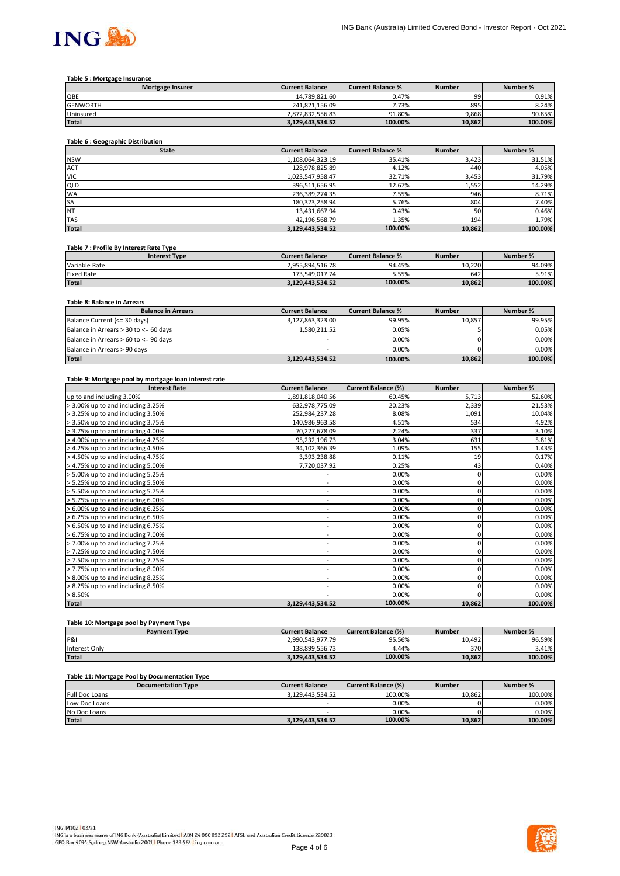

## **Table 5 : Mortgage Insurance**

| Mortgage Insurer | <b>Current Balance</b> | <b>Current Balance %</b> | <b>Number</b> | Number % |
|------------------|------------------------|--------------------------|---------------|----------|
| QBE              | 14.789.821.60          | 0.47%                    | 99            | 0.91%    |
| <b>GENWORTH</b>  | 241.821.156.09         | 7.73%                    | 895           | 8.24%    |
| Uninsured        | 2.872.832.556.83       | 91.80%                   | 9.868         | 90.85%   |
| <b>Total</b>     | 3.129.443.534.52       | 100.00%                  | 10,862        | 100.00%  |

## **Table 6 : Geographic Distribution**

| <b>State</b> | <b>Current Balance</b> | <b>Current Balance %</b> | <b>Number</b> | Number % |
|--------------|------------------------|--------------------------|---------------|----------|
| <b>NSW</b>   | 1,108,064,323.19       | 35.41%                   | 3,423         | 31.51%   |
| ACT          | 128,978,825.89         | 4.12%                    | 440           | 4.05%    |
| <b>VIC</b>   | 1,023,547,958.47       | 32.71%                   | 3,453         | 31.79%   |
| <b>QLD</b>   | 396,511,656.95         | 12.67%                   | 1,552         | 14.29%   |
| <b>WA</b>    | 236,389,274.35         | 7.55%                    | 946           | 8.71%    |
| SA           | 180,323,258.94         | 5.76%                    | 804           | 7.40%    |
| <b>NT</b>    | 13,431,667.94          | 0.43%                    | 50            | 0.46%    |
| <b>TAS</b>   | 42,196,568.79          | 1.35%                    | 194           | 1.79%    |
| <b>Total</b> | 3,129,443,534.52       | 100.00%                  | 10,862        | 100.00%  |

#### **Table 7 : Profile By Interest Rate Type**

| <b>Interest Type</b> | <b>Current Balance</b> | <b>Current Balance %</b> | <b>Number</b> | Number % |
|----------------------|------------------------|--------------------------|---------------|----------|
| Variable Rate        | 2.955.894.516.78       | 94.45%                   | 10.220        | 94.09%   |
| <b>Fixed Rate</b>    | 173.549.017.74         | 5.55%                    | 642           | 5.91%    |
| <b>Total</b>         | 3.129.443.534.52       | 100.00%                  | 10.862        | 100.00%  |

## **Table 8: Balance in Arrears**

| <b>Balance in Arrears</b>             | <b>Current Balance</b> | <b>Current Balance %</b> | <b>Number</b> | Number % |
|---------------------------------------|------------------------|--------------------------|---------------|----------|
| Balance Current (<= 30 days)          | 3,127,863,323.00       | 99.95%                   | 10.857        | 99.95%   |
| Balance in Arrears > 30 to <= 60 days | 1,580,211.52           | 0.05%                    |               | 0.05%    |
| Balance in Arrears > 60 to <= 90 days | -                      | $0.00\%$                 |               | 0.00%    |
| Balance in Arrears > 90 days          | -                      | 0.00%                    |               | 0.00%    |
| <b>Total</b>                          | 3,129,443,534.52       | 100.00%                  | 10,862        | 100.00%  |

#### **Table 9: Mortgage pool by mortgage loan interest rate**

| <b>Interest Rate</b>              | <b>Current Balance</b>       | <b>Current Balance (%)</b> | <b>Number</b> | Number % |
|-----------------------------------|------------------------------|----------------------------|---------------|----------|
| up to and including 3.00%         | 1,891,818,040.56             | 60.45%                     | 5,713         | 52.60%   |
| > 3.00% up to and including 3.25% | 632,978,775.09               | 20.23%                     | 2,339         | 21.53%   |
| > 3.25% up to and including 3.50% | 252,984,237.28               | 8.08%                      | 1,091         | 10.04%   |
| > 3.50% up to and including 3.75% | 140,986,963.58               | 4.51%                      | 534           | 4.92%    |
| > 3.75% up to and including 4.00% | 70,227,678.09                | 2.24%                      | 337           | 3.10%    |
| > 4.00% up to and including 4.25% | 95,232,196.73                | 3.04%                      | 631           | 5.81%    |
| > 4.25% up to and including 4.50% | 34,102,366.39                | 1.09%                      | 155           | 1.43%    |
| > 4.50% up to and including 4.75% | 3,393,238.88                 | 0.11%                      | 19            | 0.17%    |
| > 4.75% up to and including 5.00% | 7,720,037.92                 | 0.25%                      | 43            | 0.40%    |
| > 5.00% up to and including 5.25% | ۰                            | 0.00%                      | 0             | 0.00%    |
| > 5.25% up to and including 5.50% | ٠                            | 0.00%                      | 0             | 0.00%    |
| > 5.50% up to and including 5.75% | $\qquad \qquad \blacksquare$ | 0.00%                      | 0             | 0.00%    |
| > 5.75% up to and including 6.00% | ٠                            | 0.00%                      | 0             | 0.00%    |
| > 6.00% up to and including 6.25% | $\sim$                       | 0.00%                      | 0             | 0.00%    |
| > 6.25% up to and including 6.50% | ۰                            | 0.00%                      |               | 0.00%    |
| > 6.50% up to and including 6.75% | $\overline{\phantom{0}}$     | 0.00%                      |               | 0.00%    |
| > 6.75% up to and including 7.00% | $\overline{\phantom{a}}$     | 0.00%                      | 0             | 0.00%    |
| > 7.00% up to and including 7.25% | ٠.                           | 0.00%                      | 0             | 0.00%    |
| > 7.25% up to and including 7.50% | ۰                            | 0.00%                      | 0             | 0.00%    |
| > 7.50% up to and including 7.75% | $\overline{\phantom{0}}$     | 0.00%                      |               | 0.00%    |
| > 7.75% up to and including 8.00% | ۰                            | 0.00%                      | 0             | 0.00%    |
| > 8.00% up to and including 8.25% | ۰                            | 0.00%                      |               | 0.00%    |
| > 8.25% up to and including 8.50% | ٠                            | 0.00%                      |               | 0.00%    |
| > 8.50%                           | ۰                            | 0.00%                      |               | 0.00%    |
| <b>Total</b>                      | 3,129,443,534.52             | 100.00%                    | 10,862        | 100.00%  |

# **Table 10: Mortgage pool by Payment Type**

| <b>Payment Type</b> | <b>Current Balance</b> | <b>Current Balance (%)</b> | <b>Number</b> | Number % |
|---------------------|------------------------|----------------------------|---------------|----------|
| P&I                 | 2.990.543.977.79       | 95.56%                     | 10.492        | 96.59%   |
| Interest Only       | 138.899.556.73         | 4.44%                      | 370           | 3.41%    |
| <b>Total</b>        | 3.129.443.534.52       | 100.00%                    | 10.862        | 100.00%  |

## **Table 11: Mortgage Pool by Documentation Type**

| <b>Documentation Type</b> | <b>Current Balance</b> | Current Balance (%) | <b>Number</b> | Number % |
|---------------------------|------------------------|---------------------|---------------|----------|
| <b>Full Doc Loans</b>     | 3.129.443.534.52       | 100.00%             | 10.862        | 100.00%  |
| Low Doc Loans             | -                      | 0.00%               |               | 0.00%    |
| No Doc Loans              | -                      | 0.00%               |               | 0.00%    |
| <b>Total</b>              | 3.129.443.534.52       | 100.00%             | 10.862        | 100.00%  |

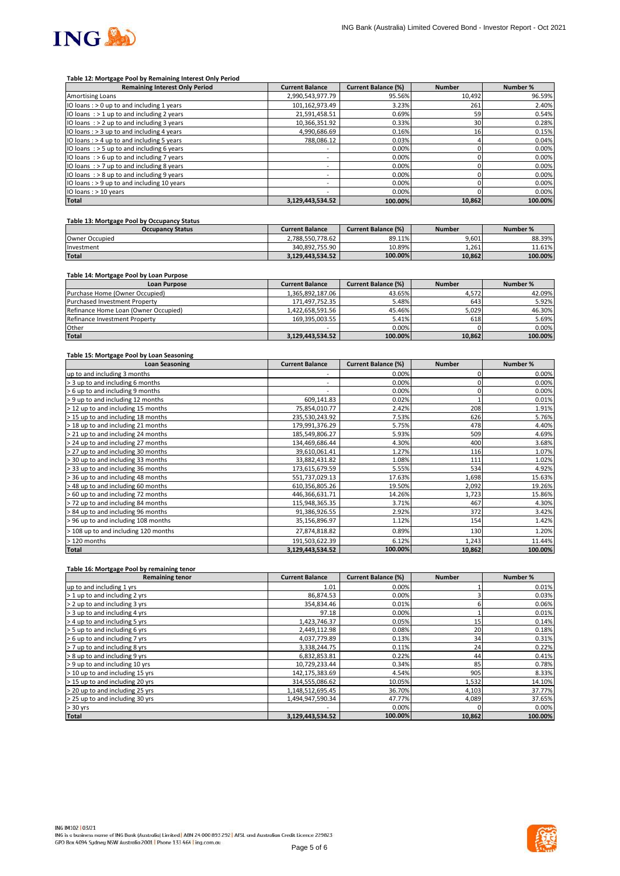

#### **Table 12: Mortgage Pool by Remaining Interest Only Period**

| <b>Remaining Interest Only Period</b>        | <b>Current Balance</b>   | <b>Current Balance (%)</b> | <b>Number</b> | Number % |
|----------------------------------------------|--------------------------|----------------------------|---------------|----------|
| <b>Amortising Loans</b>                      | 2,990,543,977.79         | 95.56%                     | 10,492        | 96.59%   |
| IO loans: $> 0$ up to and including 1 years  | 101,162,973.49           | 3.23%                      | 261           | 2.40%    |
| IO loans : > 1 up to and including 2 years   | 21,591,458.51            | 0.69%                      | 59            | 0.54%    |
| IO loans $:$ > 2 up to and including 3 years | 10,366,351.92            | 0.33%                      | 30            | 0.28%    |
| IO loans: > 3 up to and including 4 years    | 4,990,686.69             | 0.16%                      | 16            | 0.15%    |
| IO loans : > 4 up to and including 5 years   | 788.086.12               | 0.03%                      |               | 0.04%    |
| IO loans: $>$ 5 up to and including 6 years  | $\overline{\phantom{a}}$ | 0.00%                      |               | 0.00%    |
| IO loans $:$ > 6 up to and including 7 years | $\overline{\phantom{a}}$ | 0.00%                      |               | 0.00%    |
| IO loans $:$ > 7 up to and including 8 years | $\overline{\phantom{a}}$ | 0.00%                      |               | 0.00%    |
| IO loans : > 8 up to and including 9 years   | ۰                        | 0.00%                      |               | 0.00%    |
| IO loans : > 9 up to and including 10 years  | $\overline{\phantom{a}}$ | 0.00%                      |               | 0.00%    |
| IO loans : > 10 years                        | ۰                        | 0.00%                      |               | 0.00%    |
| <b>Total</b>                                 | 3,129,443,534.52         | 100.00%                    | 10,862        | 100.00%  |

## **Table 13: Mortgage Pool by Occupancy Status**

| <b>Occupancy Status</b> | <b>Current Balance</b> | <b>Current Balance (%)</b> | <b>Number</b> | Number % |
|-------------------------|------------------------|----------------------------|---------------|----------|
| Owner Occupied          | 2.788.550.778.62       | 89.11%                     | 9.601         | 88.39%   |
| Investment              | 340.892.755.90         | 10.89%                     | 1.261         | 11.61%   |
| <b>Total</b>            | 3.129.443.534.52       | 100.00%                    | 10.862        | 100.00%  |

## **Table 14: Mortgage Pool by Loan Purpose**

| <b>Loan Purpose</b>                  | <b>Current Balance</b> | <b>Current Balance (%)</b> | <b>Number</b> | Number % |
|--------------------------------------|------------------------|----------------------------|---------------|----------|
| Purchase Home (Owner Occupied)       | 1.365.892.187.06       | 43.65%                     | 4.572         | 42.09%   |
| <b>Purchased Investment Property</b> | 171,497,752.35         | 5.48%                      | 643           | 5.92%    |
| Refinance Home Loan (Owner Occupied) | 1.422.658.591.56       | 45.46%                     | 5,029         | 46.30%   |
| Refinance Investment Property        | 169.395.003.55         | 5.41%                      | 618           | 5.69%    |
| Other                                |                        | 0.00%                      |               | $0.00\%$ |
| <b>Total</b>                         | 3,129,443,534.52       | 100.00%                    | 10,862        | 100.00%  |

#### **Table 15: Mortgage Pool by Loan Seasoning**

| <b>Loan Seasoning</b>                | <b>Current Balance</b>   | <b>Current Balance (%)</b> | <b>Number</b> | Number % |
|--------------------------------------|--------------------------|----------------------------|---------------|----------|
| up to and including 3 months         |                          | 0.00%                      |               | 0.00%    |
| > 3 up to and including 6 months     | ۰                        | 0.00%                      |               | 0.00%    |
| > 6 up to and including 9 months     | $\overline{\phantom{a}}$ | 0.00%                      |               | 0.00%    |
| > 9 up to and including 12 months    | 609,141.83               | 0.02%                      |               | 0.01%    |
| > 12 up to and including 15 months   | 75,854,010.77            | 2.42%                      | 208           | 1.91%    |
| > 15 up to and including 18 months   | 235,530,243.92           | 7.53%                      | 626           | 5.76%    |
| > 18 up to and including 21 months   | 179,991,376.29           | 5.75%                      | 478           | 4.40%    |
| > 21 up to and including 24 months   | 185,549,806.27           | 5.93%                      | 509           | 4.69%    |
| > 24 up to and including 27 months   | 134,469,686.44           | 4.30%                      | 400           | 3.68%    |
| > 27 up to and including 30 months   | 39,610,061.41            | 1.27%                      | 116           | 1.07%    |
| > 30 up to and including 33 months   | 33,882,431.82            | 1.08%                      | 111           | 1.02%    |
| > 33 up to and including 36 months   | 173,615,679.59           | 5.55%                      | 534           | 4.92%    |
| > 36 up to and including 48 months   | 551,737,029.13           | 17.63%                     | 1,698         | 15.63%   |
| > 48 up to and including 60 months   | 610,356,805.26           | 19.50%                     | 2,092         | 19.26%   |
| > 60 up to and including 72 months   | 446,366,631.71           | 14.26%                     | 1,723         | 15.86%   |
| > 72 up to and including 84 months   | 115,948,365.35           | 3.71%                      | 467           | 4.30%    |
| > 84 up to and including 96 months   | 91,386,926.55            | 2.92%                      | 372           | 3.42%    |
| > 96 up to and including 108 months  | 35,156,896.97            | 1.12%                      | 154           | 1.42%    |
| > 108 up to and including 120 months | 27,874,818.82            | 0.89%                      | 130           | 1.20%    |
| > 120 months                         | 191,503,622.39           | 6.12%                      | 1,243         | 11.44%   |
| <b>Total</b>                         | 3,129,443,534.52         | 100.00%                    | 10,862        | 100.00%  |

#### **Table 16: Mortgage Pool by remaining tenor**

| <b>Remaining tenor</b>          | <b>Current Balance</b> | <b>Current Balance (%)</b> | <b>Number</b> | Number % |
|---------------------------------|------------------------|----------------------------|---------------|----------|
| up to and including 1 yrs       | 1.01                   | 0.00%                      |               | 0.01%    |
| > 1 up to and including 2 yrs   | 86,874.53              | 0.00%                      |               | 0.03%    |
| > 2 up to and including 3 yrs   | 354,834.46             | 0.01%                      |               | 0.06%    |
| > 3 up to and including 4 yrs   | 97.18                  | 0.00%                      |               | 0.01%    |
| > 4 up to and including 5 yrs   | 1,423,746.37           | 0.05%                      | 15            | 0.14%    |
| > 5 up to and including 6 yrs   | 2,449,112.98           | 0.08%                      | 20            | 0.18%    |
| > 6 up to and including 7 yrs   | 4,037,779.89           | 0.13%                      | 34            | 0.31%    |
| > 7 up to and including 8 yrs   | 3,338,244.75           | 0.11%                      | 24            | 0.22%    |
| > 8 up to and including 9 yrs   | 6,832,853.81           | 0.22%                      | 44            | 0.41%    |
| > 9 up to and including 10 yrs  | 10,729,233.44          | 0.34%                      | 85            | 0.78%    |
| > 10 up to and including 15 yrs | 142,175,383.69         | 4.54%                      | 905           | 8.33%    |
| > 15 up to and including 20 yrs | 314,555,086.62         | 10.05%                     | 1,532         | 14.10%   |
| > 20 up to and including 25 yrs | 1,148,512,695.45       | 36.70%                     | 4,103         | 37.77%   |
| > 25 up to and including 30 yrs | 1,494,947,590.34       | 47.77%                     | 4,089         | 37.65%   |
| $> 30$ yrs                      |                        | 0.00%                      |               | 0.00%    |
| <b>Total</b>                    | 3,129,443,534.52       | 100.00%                    | 10,862        | 100.00%  |